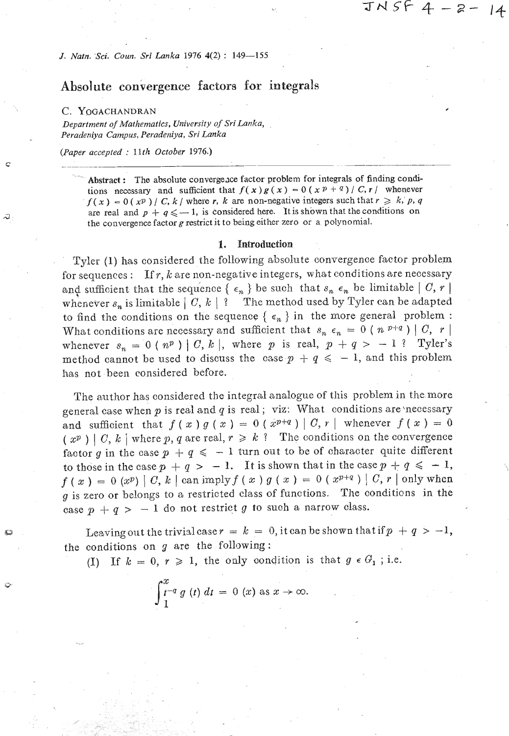*3. Natn. Sci. Coun. Sri Lanka 1976* **4(2)** : **149-155** 

# **Absolute convergence factors for integrals**

#### *C.* **YOGACHANDRAN**

 $\mathbf C$ 

**Department of Mathematics, University of Sri Lanka,** *Peradeniya Campus, Peradeniya, Sri Lanka* 

*(Paper accepted* : **3** *1 th October 1976.)* 

Abstract : The absolute convergence factor problem for integrals of finding condi**tions necessary and sufficient that**  $f(x)g(x) = 0(x^p + 0^q)/C$ **, r whenever**  $f(x) = 0$  (xP) / *C, k* / where *r, k* are non-negative integers such that  $r \ge k$ , p, q are real and  $p + q \le -1$ , is considered here. It is shown that the conditions on **the convergence factor g restrict it to being either zero or a polynomial.** 

#### **1. Introduction**

Tyler (1) has considered the following absolute convergence factor problem for sequences : If  $r$ ,  $k$  are non-negative integers, what conditions are necessary and sufficient that the sequence  $\{\epsilon_n\}$  be such that  $s_n \epsilon_n$  be limitable  $\lceil C, r \rceil$ whenever  $s_n$  is limitable  $|C, k|$  ? The method used by Tyler can be adapted to find the conditions on the sequence  $\{\epsilon_n\}$  in the more general problem : What conditions are necessary and sufficient that  $s_n \epsilon_n = 0$  ( $n^{p+q}$ ) | C, r | whenever  $s_n = 0$  ( $n^p$ ) | C, k |, where p is real,  $p + q > -1$ ? Tyler's method cannot be used to discuss the case  $p + q \le -1$ , and this problem has not -been considered before.

The author has considered the integral analogue of this problem in the more general case when  $p$  is real and  $q$  is real; viz: What conditions are necessary and sufficient that  $f(x)g(x) = 0$  ( $x^{p+q}$ ) | C, r | whenever  $f(x) = 0$  $(x^p) | C, k |$  where p, q are real,  $r \ge k$  ? The conditions on the convergence factor g in the case  $p + q \le -1$  turn out to be of character quite different to those in the case  $p + q > -1$ . It is shown that in the case  $p + q \le -1$ , **f** ( x ) = 0  $(x^p)$  | *C*, *k* | can imply  $f(x)$   $g(x) = 0$   $(x^{p+q})$  | *C*, *r* | only when **<sup>g</sup>**is zero or belongs to a restricted class of functions. The conditions in the case  $p + q > -1$  do not restrict g to such a narrow class.

Leaving out the trivislcase  $r = k = 0$ , it can be shown that if  $p + q > -1$ , the conditions on **3** are the following:

(I) If  $k = 0, r \ge 1$ , the only condition is that  $g \in G_1$ ; i.e.

$$
\int_{1}^{x} t^{-q} g(t) dt = 0 (x) \text{ as } x \to \infty.
$$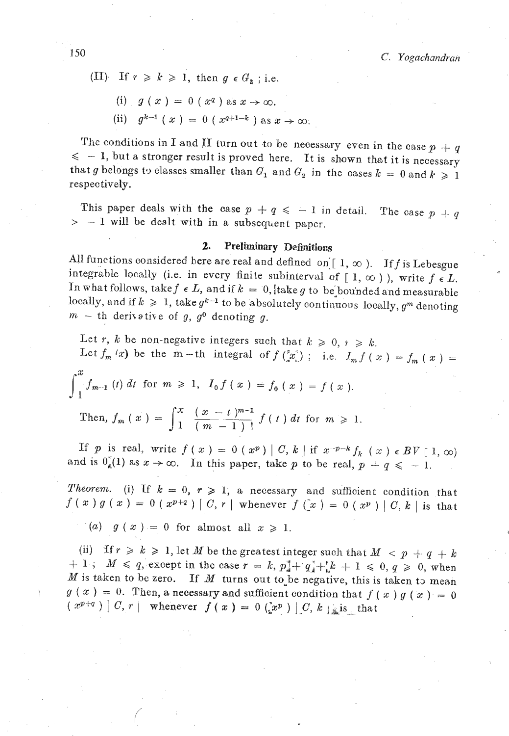- (II) If  $r \ge k \ge 1$ , then  $g \in G_2$ ; i.e.
	- (i)  $g(x) = 0$  ( $x^q$ ) as  $x \rightarrow \infty$ .
	- (ii)  $q^{k-1} (x) = 0 (x^{q+1-k})$  as  $x \to \infty$ .

The conditions in I and II turn out to be necessary even in the case  $p + q$  $\leq$  - 1, but a stronger result is proved here. It is shown that it is necessary that g belongs to classes smaller than  $G_1$  and  $G_2$  in the cases  $k = 0$  and  $k \ge 1$ respectively.

This paper deals with the case  $p + q \le -1$  in detail. The case  $p + q$  $> -1$  will be dealt with in a subsequent paper.

### **2.** Preliminary Definitions

All functions considered here are real and defined on  $[1, \infty)$ . If f is Lebesgue integrable locally (i.e. in every finite subinterval of  $[1, \infty)$ ), write  $f \in L$ . In what follows, take  $f \in L$ , and if  $k = 0$ , take g to be bounded and measurable ocally, and if  $k \ge 1$ , take  $g^{k-1}$  to be absolutely continuous locally,  $g^m$  denoting  $m - th$  derivative of g,  $g^0$  denoting g.

Let r, *k* be non-negative integers such that  $k \geq 0, i \geq k$ . Let  $f_m(x)$  be the  $m-th$  integral of  $f\left(\frac{x}{n}\right)$ ; i.e.  $I_m f(x) = f_m(x)$ Then,  $f_m(x) = \int_1^x \frac{(x - t)^{m-1}}{(m-1)!} f(t) dt$  for  $m \ge 1$ .

If *p* is real, write  $f(x) = 0$   $(x^p) | C, k |$  if  $x^{-p-k} f_k(x) \in BV[1, \infty)$  and is  $0_k(1)$  as  $x \to \infty$ . In this paper, take *p* to be real,  $p + q \le -1$ .

**Theorem.** (i) If  $k = 0, r \ge 1$ , a necessary and sufficient condition that  $f(x) g(x) = 0 (x^{p+q}) [C, r]$  whenever  $f(x) = 0 (x^p) [C, k]$  is that

 $g(x) = 0$  for almost all  $x \ge 1$ .

(ii) If  $r \ge k \ge 1$ , let *M* be the greatest integer such that  $M < p + q + k$  $+1$ ;  $M \le q$ , except in the case  $r = k$ ,  $p_4^{\dagger} + q_4^{\dagger} + k k + 1 \le 0$ ,  $q \ge 0$ , when  $M$  is taken to be zero. If  $M$  turns out to be negative, this is taken to mean  $g(x) = 0$ . Then, a necessary and sufficient condition that  $f(x)g(x) = 0$  $(x^{p+q})$  | C,  $r \mid$  whenever  $f(x) = 0$   $(x^p)$  | C,  $k \mid$  is that

 $\bar{\gamma}$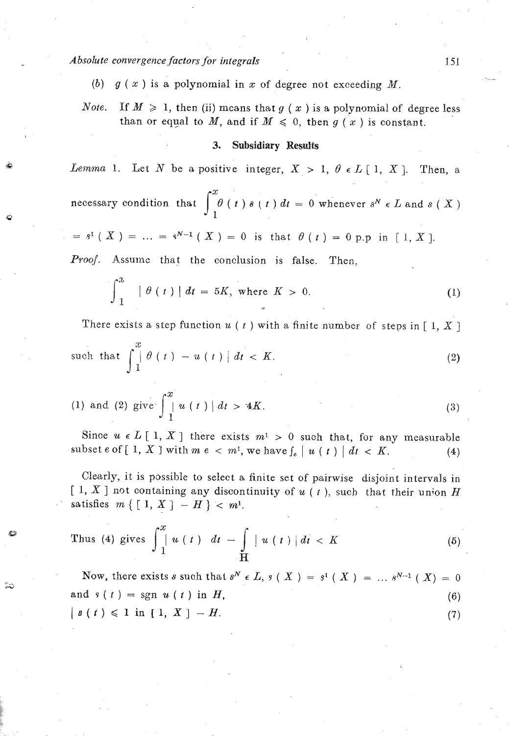Absolute convergence factors for integrals

9

**3** 

- (b)  $g(x)$  is a polynomial in x of degree not exceeding M.
- *Note.* If  $M \geq 1$ , then (ii) means that g (x) is a polynomial of degree less than or equal to M, and if  $M \leq 0$ , then  $g(x)$  is constant.

#### **3. Subsidiary Results**

*Lemma* 1. Let *N* be a positive integer,  $X > 1$ ,  $\theta \in L[1, X]$ . Then, a

necessary condition that  $\int_{1}^{x} \theta(t) s(t) dt = 0$  whenever  $s^N \in L$  and  $s(X)$ 

$$
= s^1 (X) = ... = s^{N-1} (X) = 0
$$
 is that  $\theta (t) = 0$  p.p in [1, X].

Proof. Assume that the conclusion is false. Then,

$$
\int_{1}^{x} \left| \theta(t) \right| dt = 5K, \text{ where } K > 0.
$$
 (1)

There exists a step function  $u(t)$  with a finite number of steps in [1, X]

such that 
$$
\int_{1}^{x} \theta(t) - u(t) \, dt < K. \tag{2}
$$

(1) and (2) give 
$$
\int_{1}^{x} u(t) | dt > 4K.
$$
 (3)

Since  $u \in L[1, X]$  there exists  $m^1 > 0$  such that, for any measurable subset e of  $\left[1, X\right]$  with  $m e < m^1$ , we have  $\int_e |u(t)| dt < K$ . (4)

Clearly, it is possible to select a finite set of pairwise disjoint intervals in  $[1, X]$  not containing any discontinuity of  $u(t)$ , such that their union *H* satisfies  $m \{ [1, X] - H \} < m$ <sup>1</sup>.

Thus (4) gives 
$$
\int_{1}^{x} u(t) dt - \int_{H} u(t) dt < K
$$
 (5)

Now, there exists *s* such that  $s^N \in L$ ,  $s(X) = s^1(X) = ... s^{N-1}(X) = 0$ and  $s(t) = sgn u(t)$  in H,  $(6)$  $[s(t) \leq 1 \text{ in } [1, X] - H.$  (7)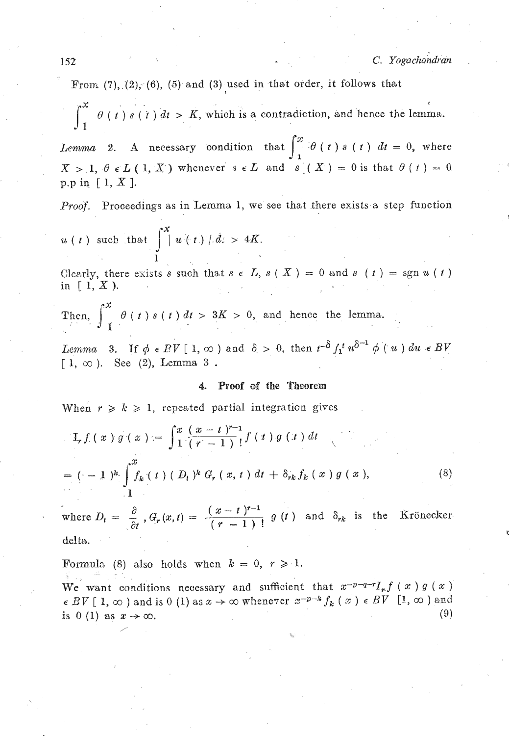From  $(7)$ ,  $(2)$ ,  $(6)$ ,  $(5)$  and  $(3)$  used in that order, it follows that

-. **<sup>C</sup>**  $\theta$  (*t*) *s* (*t*) *dt* > *K*, which is a contradiction, and hence the lemma.

*Lemma* 2. A necessary condition that  $\int_{1}^{x} \theta(t) s(t) dt = 0$ , where  $X > 1, \theta \in L(1, X)$  whenever  $s \in L$  and  $s(X) = 0$  is that  $\theta(t) = 0$ p.p in  $[ 1, X ]$ .

Proof. proceedings as in Lemma 1, we see *that* there exists a step function

 $u(t)$  such that  $\int_{0}^{x} u(t) dx > 4K$ . **1** 

Clearly, there exists s such that  $s \in L$ ,  $s(X) = 0$  and  $s(Y) = \text{sgn } u(Y)$ in  $\lceil 1, X \rceil$ .

Then,  $\int_{-1}^{x} \theta(t) s(t) dt > 3K > 0$ , and hence the lemma.

*Lemma* 3. If  $\phi \in PV$  [ 1,  $\infty$  ) and  $\delta > 0$ , then  $t^{-\delta} f_1^t u^{\delta^{-1}} \phi(u) du \in BV$  $\lceil 1, \infty \rceil$ . See (2), Lemma 3.

### **4. Proof of the Theorem**

When  $r \ge k \ge 1$ , repeated partial integration gives

$$
\mathcal{I}_r f(x) g(x) = \int_1^x \frac{(x-t)^{r-1}}{(r-1)!} f(t) g(t) dt
$$
  
= (-1)^k \int\_{1}^x f\_k(t) (D\_t)^k G\_r(x, t) dt + \delta\_{rk} f\_k(x) g(x), (8)

where  $D_t = \frac{\partial}{\partial t}$ ,  $G_r(x,t) = \frac{(x-t)^{r-1}}{(r-1)!} g(t)$  and  $\delta_{rk}$  is the Krönecker delta.

Formula (8) also holds when  $k = 0, r \ge 1$ . We want conditions necessary and sufficient that  $x^{-p-q-r}I_{r}f(x)g(x)$  $\epsilon$  *BV* [1,  $\infty$  ) and is 0 (1) as  $x \to \infty$  whenever  $x^{-p-k} f_k(x) \epsilon$  *BV* [1,  $\infty$  ) and is  $0 (1)$  as  $x \to \infty$ . (9) is 0 (1) as  $x \rightarrow \infty$ .

&.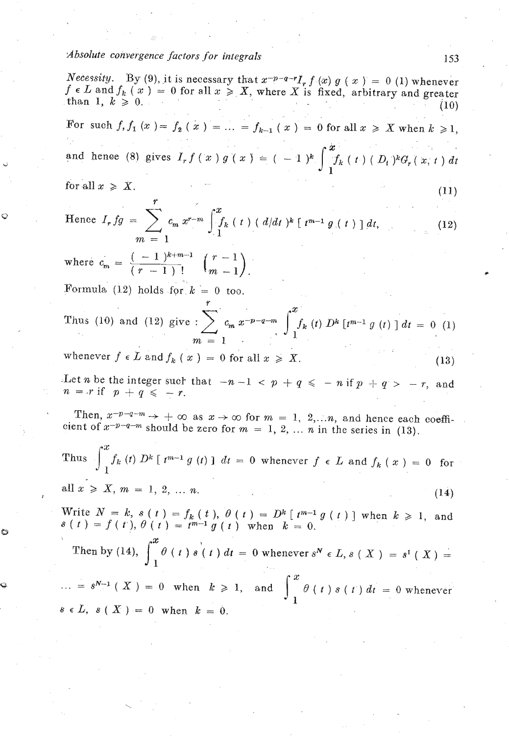## *Absolute convergence factors for integrals*

 $\ddot{\circ}$ 

*Necessity.* By (9), it is necessary that  $x^{-p-q-r}I_r f(x) g(x) = 0$  (1) whenever  $f \in L$  and  $f_k$   $(x) = 0$  for all  $x \geq X$ , where X is fixed, arbitrary and greater than 1,  $k \ge 0$ . *(10)*  $(10)$ For such  $f, f_1(x) = f_2(x) = ... = f_{k-1}(x) = 0$  for all  $x \ge X$  when  $k \ge 1$ , and hence (8) gives  $I_r f(x) g(x) = (-1)^k \int_{-1}^{x} f_k(t) (D_t)^k G_r(x, t) dt$ for all  $x \ge X$ .<br>
Hence  $I_r fg = \sum_{m=1}^{r} c_m x^{r-m} \int_{1}^{x} f_k(t)$ <br>
where  $c_m = \frac{(-1)^{k+m-1}}{(r-1)!} \left( \frac{r-1}{m-1} \right)$ .  $(11)$ Hence  $I_r fg = \sum_{m=1}^r c_m x^{r-m} \int_{1}^x f_k(t) (d/dt)^k [t^{m-1} g(t)] dt$ , **Y (12)**  where  $c_m = \frac{(-1)^{k+m-1}}{(r-1)!}$   $\binom{r-1}{m-1}$ . Formula  $(12)$  holds for  $k = 0$  too. Thus (10) and (12) give  $\sum_{m=1}^{r} c_m x^{-p-q-m} \int_{1}^{x} f_k(t) D^k [t^{m-1} g(t)] dt = 0$  (1)  $\sum_{m=1}^{r} c_m t^{p-1} f_k(t)$ whenever  $f \in L$  and  $f_k(x) = 0$  for all  $x \geqslant X$ .  $(13)$ Let *n* be the integer such that  $-n-1 < p + q \le -n$  if  $p + q > -r$ , and  $n = r$  if  $p + q \leq -r$ . Then,  $x^{-p-q-m} \rightarrow +\infty$  as  $x \rightarrow \infty$  for  $m = 1, 2,...n$ , and hence each coefficient of  $x^{-p-q-m}$  should be zero for  $m = 1, 2, \ldots, n$  in the series in (13). Thus  $\int_{-a}^{x} f_k(t) D^k[t^{m-1} g(t)] dt = 0$  whenever  $f \in L$  and  $f_k(x) = 0$  for **-1**  all  $x \geq X, m = 1, 2, ..., n$  $(14)$  $W = k$ ,  $s(t) = f_k(t)$ ,  $\theta(t) = D^k \left[t^{m-1} g(t) \right]$  when  $k > 1$ , and  $s(t) = f(t), \theta(t) = t^{m-1} g(t)$  when  $k = 0$ . Then by (14),  $\int_{1}^{x} \theta(t) s(t) dt = 0$  whenever  $s^{N} \in L$ ,  $s(X) = s^{1}(X) =$  $\therefore$  =  $s^{N-1}$  (X) = 0 when  $k \ge 1$ , and  $\int_{1}^{x} \theta(t) s(t) dt = 0$  whenever  $s \in L$ ,  $s(X) = 0$  when  $k = 0$ .

153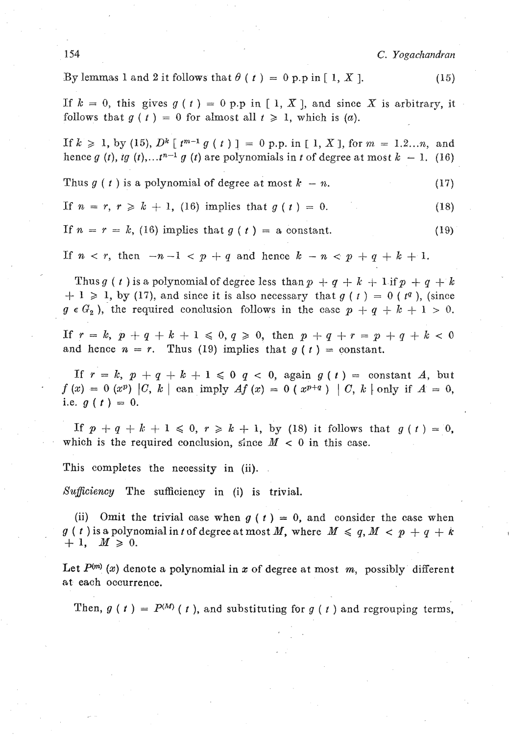**154** C. *Yogachandraiz* 

By lemmas 1 and 2 it follows that  $\theta$  ( $t$ ) = 0 p.p in [1, X]. (15)

If  $k = 0$ , this gives  $g(t) = 0$  p.p in [1, X], and since X is arbitrary, it follows that  $q(t) = 0$  for almost all  $t \ge 1$ , which is (a).

If  $k \ge 1$ , by (15),  $D^k \lceil t^{m-1} g(t) \rceil = 0$  p.p. in  $\lceil 1, X \rceil$ , for  $m = 1, 2, \ldots n$ , and hence  $g(t)$ , *tg* (*t*), ...  $t^{n-1} g(t)$  are polynomials in t of degree at most  $k - 1$ . (16)

Thus 
$$
g(t)
$$
 is a polynomial of degree at most  $k - n$ . (17)

If 
$$
n = r, r \ge k + 1
$$
, (16) implies that  $g(t) = 0$ . (18)

If 
$$
n = r = k
$$
, (16) implies that  $g(t) = a$  constant. (19)

If  $n < r$ , then  $-n-1 < p + q$  and hence  $k - n < p + q + k + 1$ .

Thus g (t) is a polynomial of degree less than  $p + q + k + 1$  if  $p + q + k$  $+ 1 \ge 1$ , by (17), and since it is also necessary that  $g(t) = 0$  ( $t<sup>q</sup>$ ), (since  $g \in G_2$ ), the required conclusion follows in the case  $p + q + k + 1 > 0$ .

If  $r=k$ ,  $p+q+k+1 \le 0, q \ge 0$ , then  $p+q+r=p+q+k<0$ and hence  $n = r$ . Thus (19) implies that  $g(t) = constant$ .

If  $r = k$ ,  $p + q + k + 1 \leq 0$   $q < 0$ , again  $q(t) =$  constant A, but  $f(x) = 0$  (x<sup>p</sup>) |C, k | can imply  $Af(x) = 0$  (x<sup>p+q</sup>) | C, k | only if  $A = 0$ , i.e.  $g(t) = 0$ .

If  $p + q + k + 1 \le 0, r \ge k + 1,$  by (18) it follows that  $q(t) = 0$ , which is the required conclusion, since  $M < 0$  in this case.

This completes the necessity in (ii).

*Xuficiency* The sufficiency in (i) is trivial.

(ii) Omit the trivial case when  $g(t) = 0$ , and consider the case when  $g(t)$  is a polynomial in *t* of degree at most M, where  $M \leq q$ ,  $M < p + q + k$  $+1, M \geq 0.$ 

Let  $P^{(m)}(x)$  denote a polynomial in x of degree at most m, possibly different at each occurrence.

Then,  $g(t) = P^{(M)}(t)$ , and substituting for  $g(t)$  and regrouping terms,